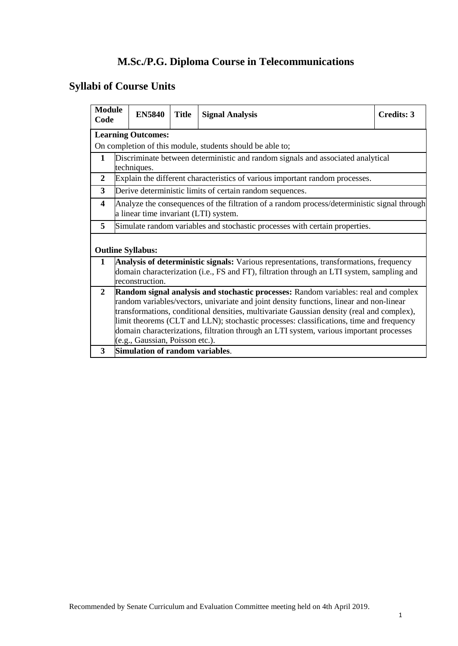# **M.Sc./P.G. Diploma Course in Telecommunications**

# **Syllabi of Course Units**

| <b>Module</b><br>Code |                                                                                                                                                                                                                                                                                                                                                                                                                                                                                                      | <b>EN5840</b>                   | <b>Title</b> | <b>Signal Analysis</b>                                                                                                                                                              | <b>Credits: 3</b> |  |
|-----------------------|------------------------------------------------------------------------------------------------------------------------------------------------------------------------------------------------------------------------------------------------------------------------------------------------------------------------------------------------------------------------------------------------------------------------------------------------------------------------------------------------------|---------------------------------|--------------|-------------------------------------------------------------------------------------------------------------------------------------------------------------------------------------|-------------------|--|
|                       |                                                                                                                                                                                                                                                                                                                                                                                                                                                                                                      | <b>Learning Outcomes:</b>       |              |                                                                                                                                                                                     |                   |  |
|                       |                                                                                                                                                                                                                                                                                                                                                                                                                                                                                                      |                                 |              | On completion of this module, students should be able to;                                                                                                                           |                   |  |
| $\mathbf{1}$          |                                                                                                                                                                                                                                                                                                                                                                                                                                                                                                      | techniques.                     |              | Discriminate between deterministic and random signals and associated analytical                                                                                                     |                   |  |
| 2                     |                                                                                                                                                                                                                                                                                                                                                                                                                                                                                                      |                                 |              | Explain the different characteristics of various important random processes.                                                                                                        |                   |  |
| 3                     |                                                                                                                                                                                                                                                                                                                                                                                                                                                                                                      |                                 |              | Derive deterministic limits of certain random sequences.                                                                                                                            |                   |  |
| 4                     |                                                                                                                                                                                                                                                                                                                                                                                                                                                                                                      |                                 |              | Analyze the consequences of the filtration of a random process/deterministic signal through<br>a linear time invariant (LTI) system.                                                |                   |  |
| 5                     |                                                                                                                                                                                                                                                                                                                                                                                                                                                                                                      |                                 |              | Simulate random variables and stochastic processes with certain properties.                                                                                                         |                   |  |
|                       |                                                                                                                                                                                                                                                                                                                                                                                                                                                                                                      | <b>Outline Syllabus:</b>        |              |                                                                                                                                                                                     |                   |  |
| $\mathbf{1}$          |                                                                                                                                                                                                                                                                                                                                                                                                                                                                                                      | reconstruction.                 |              | Analysis of deterministic signals: Various representations, transformations, frequency<br>domain characterization (i.e., FS and FT), filtration through an LTI system, sampling and |                   |  |
| $\overline{2}$        | Random signal analysis and stochastic processes: Random variables: real and complex<br>random variables/vectors, univariate and joint density functions, linear and non-linear<br>transformations, conditional densities, multivariate Gaussian density (real and complex),<br>limit theorems (CLT and LLN); stochastic processes: classifications, time and frequency<br>domain characterizations, filtration through an LTI system, various important processes<br>(e.g., Gaussian, Poisson etc.). |                                 |              |                                                                                                                                                                                     |                   |  |
| 3                     |                                                                                                                                                                                                                                                                                                                                                                                                                                                                                                      | Simulation of random variables. |              |                                                                                                                                                                                     |                   |  |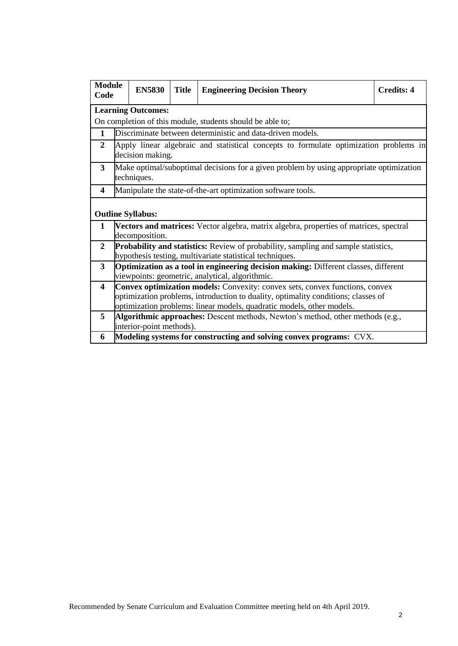| <b>Module</b><br>Code   | <b>EN5830</b>                                                                                                                                 | <b>Title</b> | <b>Engineering Decision Theory</b>                                                        | <b>Credits: 4</b> |  |
|-------------------------|-----------------------------------------------------------------------------------------------------------------------------------------------|--------------|-------------------------------------------------------------------------------------------|-------------------|--|
|                         | <b>Learning Outcomes:</b>                                                                                                                     |              |                                                                                           |                   |  |
|                         |                                                                                                                                               |              | On completion of this module, students should be able to;                                 |                   |  |
| $\mathbf{1}$            |                                                                                                                                               |              | Discriminate between deterministic and data-driven models.                                |                   |  |
| $\mathbf{2}$            | decision making.                                                                                                                              |              | Apply linear algebraic and statistical concepts to formulate optimization problems in     |                   |  |
| 3                       | techniques.                                                                                                                                   |              | Make optimal/suboptimal decisions for a given problem by using appropriate optimization   |                   |  |
| 4                       |                                                                                                                                               |              | Manipulate the state-of-the-art optimization software tools.                              |                   |  |
|                         | <b>Outline Syllabus:</b>                                                                                                                      |              |                                                                                           |                   |  |
| $\mathbf{1}$            | decomposition.                                                                                                                                |              | Vectors and matrices: Vector algebra, matrix algebra, properties of matrices, spectral    |                   |  |
| $\mathbf{2}$            |                                                                                                                                               |              | <b>Probability and statistics:</b> Review of probability, sampling and sample statistics, |                   |  |
|                         |                                                                                                                                               |              | hypothesis testing, multivariate statistical techniques.                                  |                   |  |
| 3                       | <b>Optimization as a tool in engineering decision making:</b> Different classes, different<br>viewpoints: geometric, analytical, algorithmic. |              |                                                                                           |                   |  |
| $\overline{\mathbf{4}}$ |                                                                                                                                               |              | Convex optimization models: Convexity: convex sets, convex functions, convex              |                   |  |
|                         |                                                                                                                                               |              | optimization problems, introduction to duality, optimality conditions; classes of         |                   |  |
|                         |                                                                                                                                               |              | optimization problems: linear models, quadratic models, other models.                     |                   |  |
| 5                       | interior-point methods).                                                                                                                      |              | Algorithmic approaches: Descent methods, Newton's method, other methods (e.g.,            |                   |  |
| 6                       |                                                                                                                                               |              | Modeling systems for constructing and solving convex programs: CVX.                       |                   |  |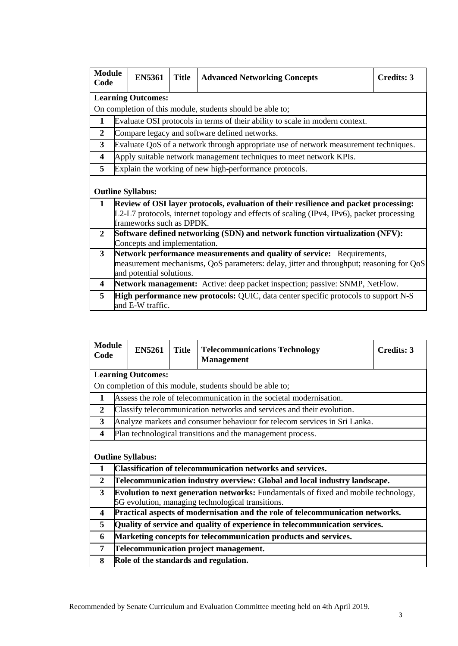| <b>Module</b><br>Code   | <b>EN5361</b>                | <b>Title</b> | <b>Advanced Networking Concepts</b>                                                                                                                                               | Credits: 3 |
|-------------------------|------------------------------|--------------|-----------------------------------------------------------------------------------------------------------------------------------------------------------------------------------|------------|
|                         | <b>Learning Outcomes:</b>    |              |                                                                                                                                                                                   |            |
|                         |                              |              | On completion of this module, students should be able to;                                                                                                                         |            |
| 1                       |                              |              | Evaluate OSI protocols in terms of their ability to scale in modern context.                                                                                                      |            |
| $\overline{2}$          |                              |              | Compare legacy and software defined networks.                                                                                                                                     |            |
| 3                       |                              |              | Evaluate QoS of a network through appropriate use of network measurement techniques.                                                                                              |            |
| $\overline{\mathbf{4}}$ |                              |              | Apply suitable network management techniques to meet network KPIs.                                                                                                                |            |
| 5                       |                              |              | Explain the working of new high-performance protocols.                                                                                                                            |            |
|                         | <b>Outline Syllabus:</b>     |              |                                                                                                                                                                                   |            |
| $\mathbf 1$             |                              |              | Review of OSI layer protocols, evaluation of their resilience and packet processing:<br>L2-L7 protocols, internet topology and effects of scaling (IPv4, IPv6), packet processing |            |
|                         | frameworks such as DPDK.     |              |                                                                                                                                                                                   |            |
| $\mathbf{2}$            |                              |              | Software defined networking (SDN) and network function virtualization (NFV):                                                                                                      |            |
|                         | Concepts and implementation. |              |                                                                                                                                                                                   |            |
| 3                       |                              |              | <b>Network performance measurements and quality of service:</b> Requirements,                                                                                                     |            |
|                         | and potential solutions.     |              | measurement mechanisms, QoS parameters: delay, jitter and throughput; reasoning for QoS                                                                                           |            |
| $\overline{\mathbf{4}}$ |                              |              | Network management: Active: deep packet inspection; passive: SNMP, NetFlow.                                                                                                       |            |
| 5                       | and E-W traffic.             |              | <b>High performance new protocols:</b> QUIC, data center specific protocols to support N-S                                                                                        |            |

| <b>Module</b><br>Code   |                                                                 | <b>EN5261</b>                                                                                                                                   | <b>Title</b> | <b>Telecommunications Technology</b><br><b>Management</b>                      | Credits: 3 |  |  |
|-------------------------|-----------------------------------------------------------------|-------------------------------------------------------------------------------------------------------------------------------------------------|--------------|--------------------------------------------------------------------------------|------------|--|--|
|                         |                                                                 | <b>Learning Outcomes:</b>                                                                                                                       |              |                                                                                |            |  |  |
|                         |                                                                 |                                                                                                                                                 |              | On completion of this module, students should be able to;                      |            |  |  |
| 1                       |                                                                 |                                                                                                                                                 |              | Assess the role of telecommunication in the societal modernisation.            |            |  |  |
| $\mathbf{2}$            |                                                                 |                                                                                                                                                 |              | Classify telecommunication networks and services and their evolution.          |            |  |  |
| 3                       |                                                                 |                                                                                                                                                 |              | Analyze markets and consumer behaviour for telecom services in Sri Lanka.      |            |  |  |
| $\overline{\mathbf{4}}$ |                                                                 |                                                                                                                                                 |              | Plan technological transitions and the management process.                     |            |  |  |
|                         |                                                                 | <b>Outline Syllabus:</b>                                                                                                                        |              |                                                                                |            |  |  |
| 1                       |                                                                 |                                                                                                                                                 |              | <b>Classification of telecommunication networks and services.</b>              |            |  |  |
| $\mathbf{2}$            |                                                                 |                                                                                                                                                 |              | Telecommunication industry overview: Global and local industry landscape.      |            |  |  |
| 3                       |                                                                 | <b>Evolution to next generation networks:</b> Fundamentals of fixed and mobile technology,<br>5G evolution, managing technological transitions. |              |                                                                                |            |  |  |
| 4                       |                                                                 |                                                                                                                                                 |              | Practical aspects of modernisation and the role of telecommunication networks. |            |  |  |
| 5                       |                                                                 |                                                                                                                                                 |              | Quality of service and quality of experience in telecommunication services.    |            |  |  |
| 6                       | Marketing concepts for telecommunication products and services. |                                                                                                                                                 |              |                                                                                |            |  |  |
| 7                       | Telecommunication project management.                           |                                                                                                                                                 |              |                                                                                |            |  |  |
| 8                       |                                                                 |                                                                                                                                                 |              | Role of the standards and regulation.                                          |            |  |  |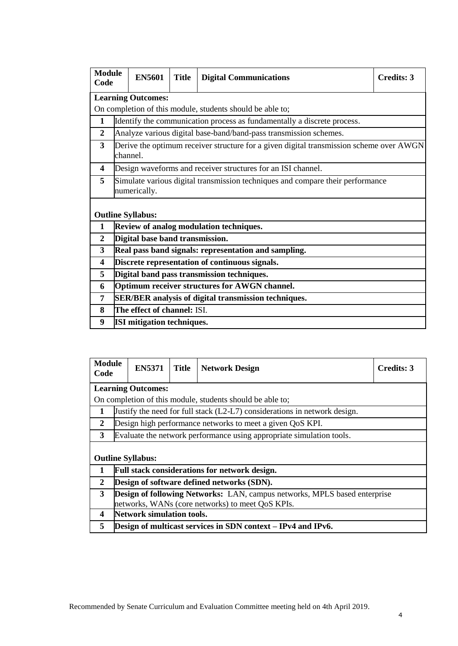| <b>Module</b><br>Code   |                                                             | <b>EN5601</b>                     | <b>Title</b> | <b>Digital Communications</b>                                                           | Credits: 3 |  |
|-------------------------|-------------------------------------------------------------|-----------------------------------|--------------|-----------------------------------------------------------------------------------------|------------|--|
|                         |                                                             | <b>Learning Outcomes:</b>         |              |                                                                                         |            |  |
|                         |                                                             |                                   |              | On completion of this module, students should be able to;                               |            |  |
| $\mathbf{1}$            |                                                             |                                   |              | Identify the communication process as fundamentally a discrete process.                 |            |  |
| $\overline{2}$          |                                                             |                                   |              | Analyze various digital base-band/band-pass transmission schemes.                       |            |  |
| $\overline{\mathbf{3}}$ |                                                             | channel.                          |              | Derive the optimum receiver structure for a given digital transmission scheme over AWGN |            |  |
| $\overline{\mathbf{4}}$ |                                                             |                                   |              | Design waveforms and receiver structures for an ISI channel.                            |            |  |
| 5                       |                                                             | numerically.                      |              | Simulate various digital transmission techniques and compare their performance          |            |  |
|                         |                                                             | <b>Outline Syllabus:</b>          |              |                                                                                         |            |  |
| 1                       |                                                             |                                   |              | Review of analog modulation techniques.                                                 |            |  |
| $\mathbf{2}$            |                                                             | Digital base band transmission.   |              |                                                                                         |            |  |
| 3                       |                                                             |                                   |              | Real pass band signals: representation and sampling.                                    |            |  |
| $\overline{\mathbf{4}}$ |                                                             |                                   |              | Discrete representation of continuous signals.                                          |            |  |
| 5                       |                                                             |                                   |              | Digital band pass transmission techniques.                                              |            |  |
| 6                       | Optimum receiver structures for AWGN channel.               |                                   |              |                                                                                         |            |  |
| 7                       | <b>SER/BER</b> analysis of digital transmission techniques. |                                   |              |                                                                                         |            |  |
| 8                       |                                                             | The effect of channel: ISI.       |              |                                                                                         |            |  |
| 9                       |                                                             | <b>ISI</b> mitigation techniques. |              |                                                                                         |            |  |

| <b>Module</b><br>Code |                                                                           | <b>EN5371</b>             | <b>Title</b> | <b>Network Design</b>                                                     | <b>Credits: 3</b> |  |
|-----------------------|---------------------------------------------------------------------------|---------------------------|--------------|---------------------------------------------------------------------------|-------------------|--|
|                       |                                                                           | <b>Learning Outcomes:</b> |              |                                                                           |                   |  |
|                       |                                                                           |                           |              | On completion of this module, students should be able to;                 |                   |  |
| 1                     |                                                                           |                           |              | Justify the need for full stack (L2-L7) considerations in network design. |                   |  |
| 2                     |                                                                           |                           |              | Design high performance networks to meet a given QoS KPI.                 |                   |  |
| 3                     |                                                                           |                           |              | Evaluate the network performance using appropriate simulation tools.      |                   |  |
|                       |                                                                           | <b>Outline Syllabus:</b>  |              |                                                                           |                   |  |
| 1                     |                                                                           |                           |              | Full stack considerations for network design.                             |                   |  |
| 2                     | Design of software defined networks (SDN).                                |                           |              |                                                                           |                   |  |
| 3                     | Design of following Networks: LAN, campus networks, MPLS based enterprise |                           |              |                                                                           |                   |  |
|                       | networks, WANs (core networks) to meet QoS KPIs.                          |                           |              |                                                                           |                   |  |
| 4                     | <b>Network simulation tools.</b>                                          |                           |              |                                                                           |                   |  |
| 5                     | Design of multicast services in SDN context – IPv4 and IPv6.              |                           |              |                                                                           |                   |  |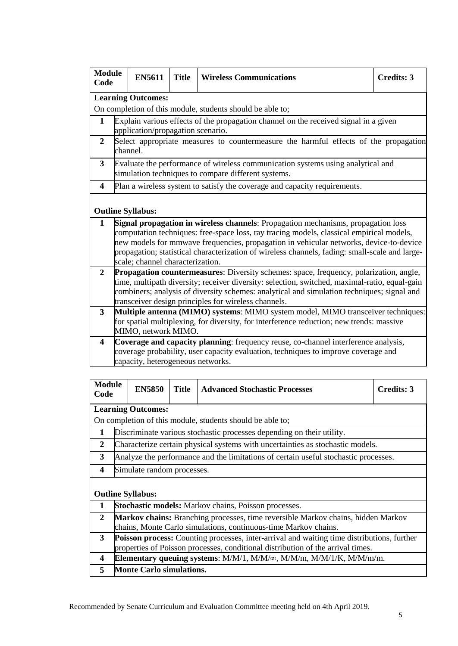| <b>Module</b><br>Code   | <b>EN5611</b>                                                                                                                                                                                                                                       | <b>Title</b> | <b>Wireless Communications</b>                                                                                                                                                                                                                                                                                                                                            | <b>Credits: 3</b> |  |  |
|-------------------------|-----------------------------------------------------------------------------------------------------------------------------------------------------------------------------------------------------------------------------------------------------|--------------|---------------------------------------------------------------------------------------------------------------------------------------------------------------------------------------------------------------------------------------------------------------------------------------------------------------------------------------------------------------------------|-------------------|--|--|
|                         | <b>Learning Outcomes:</b>                                                                                                                                                                                                                           |              |                                                                                                                                                                                                                                                                                                                                                                           |                   |  |  |
|                         |                                                                                                                                                                                                                                                     |              | On completion of this module, students should be able to;                                                                                                                                                                                                                                                                                                                 |                   |  |  |
| 1                       |                                                                                                                                                                                                                                                     |              | Explain various effects of the propagation channel on the received signal in a given                                                                                                                                                                                                                                                                                      |                   |  |  |
|                         | application/propagation scenario.                                                                                                                                                                                                                   |              |                                                                                                                                                                                                                                                                                                                                                                           |                   |  |  |
| $\boldsymbol{2}$        | channel.                                                                                                                                                                                                                                            |              | Select appropriate measures to countermeasure the harmful effects of the propagation                                                                                                                                                                                                                                                                                      |                   |  |  |
| $\mathbf{3}$            |                                                                                                                                                                                                                                                     |              | Evaluate the performance of wireless communication systems using analytical and<br>simulation techniques to compare different systems.                                                                                                                                                                                                                                    |                   |  |  |
| $\boldsymbol{4}$        |                                                                                                                                                                                                                                                     |              | Plan a wireless system to satisfy the coverage and capacity requirements.                                                                                                                                                                                                                                                                                                 |                   |  |  |
|                         | <b>Outline Syllabus:</b>                                                                                                                                                                                                                            |              |                                                                                                                                                                                                                                                                                                                                                                           |                   |  |  |
| $\mathbf{1}$            | scale; channel characterization.                                                                                                                                                                                                                    |              | Signal propagation in wireless channels: Propagation mechanisms, propagation loss<br>computation techniques: free-space loss, ray tracing models, classical empirical models,<br>new models for mmwave frequencies, propagation in vehicular networks, device-to-device<br>propagation; statistical characterization of wireless channels, fading: small-scale and large- |                   |  |  |
| $\overline{2}$          |                                                                                                                                                                                                                                                     |              | Propagation countermeasures: Diversity schemes: space, frequency, polarization, angle,                                                                                                                                                                                                                                                                                    |                   |  |  |
|                         | time, multipath diversity; receiver diversity: selection, switched, maximal-ratio, equal-gain<br>combiners; analysis of diversity schemes: analytical and simulation techniques; signal and<br>transceiver design principles for wireless channels. |              |                                                                                                                                                                                                                                                                                                                                                                           |                   |  |  |
| $\mathbf{3}$            |                                                                                                                                                                                                                                                     |              | Multiple antenna (MIMO) systems: MIMO system model, MIMO transceiver techniques:                                                                                                                                                                                                                                                                                          |                   |  |  |
|                         | MIMO, network MIMO.                                                                                                                                                                                                                                 |              | for spatial multiplexing, for diversity, for interference reduction; new trends: massive                                                                                                                                                                                                                                                                                  |                   |  |  |
| $\overline{\mathbf{4}}$ |                                                                                                                                                                                                                                                     |              | Coverage and capacity planning: frequency reuse, co-channel interference analysis,                                                                                                                                                                                                                                                                                        |                   |  |  |
|                         | capacity, heterogeneous networks.                                                                                                                                                                                                                   |              | coverage probability, user capacity evaluation, techniques to improve coverage and                                                                                                                                                                                                                                                                                        |                   |  |  |

| <b>Module</b><br>Code |                                 | <b>EN5850</b>              | <b>Title</b> | <b>Advanced Stochastic Processes</b>                                                       | Credits: 3 |  |  |  |  |
|-----------------------|---------------------------------|----------------------------|--------------|--------------------------------------------------------------------------------------------|------------|--|--|--|--|
|                       | <b>Learning Outcomes:</b>       |                            |              |                                                                                            |            |  |  |  |  |
|                       |                                 |                            |              | On completion of this module, students should be able to;                                  |            |  |  |  |  |
| 1                     |                                 |                            |              | Discriminate various stochastic processes depending on their utility.                      |            |  |  |  |  |
| 2                     |                                 |                            |              | Characterize certain physical systems with uncertainties as stochastic models.             |            |  |  |  |  |
| 3                     |                                 |                            |              | Analyze the performance and the limitations of certain useful stochastic processes.        |            |  |  |  |  |
| 4                     |                                 | Simulate random processes. |              |                                                                                            |            |  |  |  |  |
|                       |                                 | <b>Outline Syllabus:</b>   |              |                                                                                            |            |  |  |  |  |
| 1                     |                                 |                            |              | <b>Stochastic models:</b> Markov chains, Poisson processes.                                |            |  |  |  |  |
| $\overline{2}$        |                                 |                            |              | <b>Markov chains:</b> Branching processes, time reversible Markov chains, hidden Markov    |            |  |  |  |  |
|                       |                                 |                            |              | chains, Monte Carlo simulations, continuous-time Markov chains.                            |            |  |  |  |  |
| 3                     |                                 |                            |              | Poisson process: Counting processes, inter-arrival and waiting time distributions, further |            |  |  |  |  |
|                       |                                 |                            |              | properties of Poisson processes, conditional distribution of the arrival times.            |            |  |  |  |  |
| 4                     |                                 |                            |              | Elementary queuing systems: $M/M/1$ , $M/M/\infty$ , $M/M/m$ , $M/M/1/K$ , $M/M/m/m$ .     |            |  |  |  |  |
| 5                     | <b>Monte Carlo simulations.</b> |                            |              |                                                                                            |            |  |  |  |  |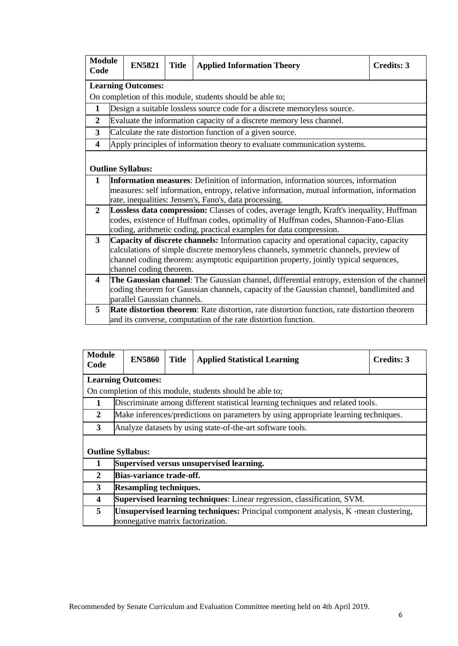| <b>Module</b><br>Code   | <b>EN5821</b>                                                                           | <b>Title</b> | <b>Applied Information Theory</b>                                                                                                                                             | <b>Credits: 3</b> |  |
|-------------------------|-----------------------------------------------------------------------------------------|--------------|-------------------------------------------------------------------------------------------------------------------------------------------------------------------------------|-------------------|--|
|                         | <b>Learning Outcomes:</b>                                                               |              |                                                                                                                                                                               |                   |  |
|                         |                                                                                         |              | On completion of this module, students should be able to;                                                                                                                     |                   |  |
| $\mathbf{1}$            |                                                                                         |              | Design a suitable lossless source code for a discrete memoryless source.                                                                                                      |                   |  |
| $\overline{2}$          |                                                                                         |              | Evaluate the information capacity of a discrete memory less channel.                                                                                                          |                   |  |
| 3                       |                                                                                         |              | Calculate the rate distortion function of a given source.                                                                                                                     |                   |  |
| $\overline{\mathbf{4}}$ |                                                                                         |              | Apply principles of information theory to evaluate communication systems.                                                                                                     |                   |  |
|                         |                                                                                         |              |                                                                                                                                                                               |                   |  |
|                         | <b>Outline Syllabus:</b>                                                                |              |                                                                                                                                                                               |                   |  |
| $\mathbf{1}$            |                                                                                         |              | Information measures: Definition of information, information sources, information                                                                                             |                   |  |
|                         |                                                                                         |              | measures: self information, entropy, relative information, mutual information, information                                                                                    |                   |  |
|                         |                                                                                         |              | rate, inequalities: Jensen's, Fano's, data processing.                                                                                                                        |                   |  |
| $\overline{2}$          |                                                                                         |              | Lossless data compression: Classes of codes, average length, Kraft's inequality, Huffman                                                                                      |                   |  |
|                         |                                                                                         |              | codes, existence of Huffman codes, optimality of Huffman codes, Shannon-Fano-Elias                                                                                            |                   |  |
|                         |                                                                                         |              | coding, arithmetic coding, practical examples for data compression.                                                                                                           |                   |  |
| 3                       |                                                                                         |              | Capacity of discrete channels: Information capacity and operational capacity, capacity<br>calculations of simple discrete memoryless channels, symmetric channels, preview of |                   |  |
|                         |                                                                                         |              | channel coding theorem: asymptotic equipartition property, jointly typical sequences,                                                                                         |                   |  |
|                         | channel coding theorem.                                                                 |              |                                                                                                                                                                               |                   |  |
| 4                       |                                                                                         |              | The Gaussian channel: The Gaussian channel, differential entropy, extension of the channel                                                                                    |                   |  |
|                         | coding theorem for Gaussian channels, capacity of the Gaussian channel, bandlimited and |              |                                                                                                                                                                               |                   |  |
|                         | parallel Gaussian channels.                                                             |              |                                                                                                                                                                               |                   |  |
| 5                       |                                                                                         |              | Rate distortion theorem: Rate distortion, rate distortion function, rate distortion theorem                                                                                   |                   |  |
|                         |                                                                                         |              | and its converse, computation of the rate distortion function.                                                                                                                |                   |  |

| <b>Module</b><br>Code | <b>EN5860</b>                                                                                                                   | <b>Title</b> | <b>Applied Statistical Learning</b>                                                 | Credits: 3 |  |  |  |  |  |
|-----------------------|---------------------------------------------------------------------------------------------------------------------------------|--------------|-------------------------------------------------------------------------------------|------------|--|--|--|--|--|
|                       | <b>Learning Outcomes:</b>                                                                                                       |              |                                                                                     |            |  |  |  |  |  |
|                       |                                                                                                                                 |              | On completion of this module, students should be able to;                           |            |  |  |  |  |  |
| 1                     |                                                                                                                                 |              | Discriminate among different statistical learning techniques and related tools.     |            |  |  |  |  |  |
| 2                     |                                                                                                                                 |              | Make inferences/predictions on parameters by using appropriate learning techniques. |            |  |  |  |  |  |
| $3^{\circ}$           |                                                                                                                                 |              | Analyze datasets by using state-of-the-art software tools.                          |            |  |  |  |  |  |
|                       | <b>Outline Syllabus:</b>                                                                                                        |              |                                                                                     |            |  |  |  |  |  |
|                       |                                                                                                                                 |              | Supervised versus unsupervised learning.                                            |            |  |  |  |  |  |
| $\overline{2}$        | Bias-variance trade-off.                                                                                                        |              |                                                                                     |            |  |  |  |  |  |
| 3                     | <b>Resampling techniques.</b>                                                                                                   |              |                                                                                     |            |  |  |  |  |  |
| 4                     | Supervised learning techniques: Linear regression, classification, SVM.                                                         |              |                                                                                     |            |  |  |  |  |  |
| 5                     | <b>Unsupervised learning techniques:</b> Principal component analysis, K -mean clustering,<br>nonnegative matrix factorization. |              |                                                                                     |            |  |  |  |  |  |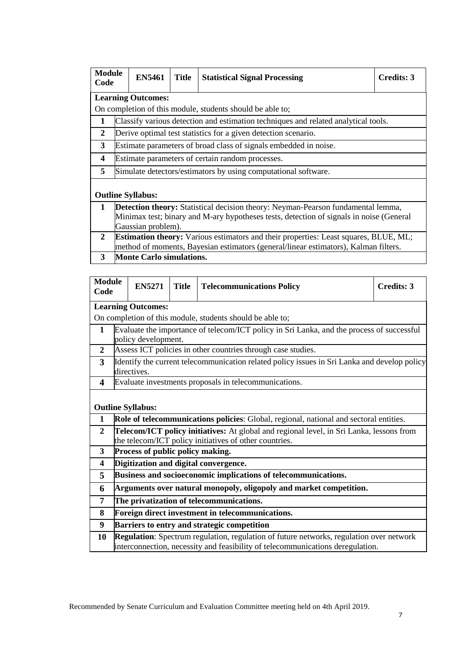| <b>Module</b><br>Code   | <b>EN5461</b>                                                                               | <b>Title</b> | <b>Statistical Signal Processing</b>                                                | Credits: 3 |  |  |  |  |
|-------------------------|---------------------------------------------------------------------------------------------|--------------|-------------------------------------------------------------------------------------|------------|--|--|--|--|
|                         | <b>Learning Outcomes:</b>                                                                   |              |                                                                                     |            |  |  |  |  |
|                         |                                                                                             |              | On completion of this module, students should be able to;                           |            |  |  |  |  |
| 1                       |                                                                                             |              | Classify various detection and estimation techniques and related analytical tools.  |            |  |  |  |  |
| $\overline{2}$          |                                                                                             |              | Derive optimal test statistics for a given detection scenario.                      |            |  |  |  |  |
| 3                       |                                                                                             |              | Estimate parameters of broad class of signals embedded in noise.                    |            |  |  |  |  |
| $\overline{\mathbf{4}}$ |                                                                                             |              | Estimate parameters of certain random processes.                                    |            |  |  |  |  |
| 5                       |                                                                                             |              | Simulate detectors/estimators by using computational software.                      |            |  |  |  |  |
|                         | <b>Outline Syllabus:</b>                                                                    |              |                                                                                     |            |  |  |  |  |
| $\mathbf 1$             |                                                                                             |              | Detection theory: Statistical decision theory: Neyman-Pearson fundamental lemma,    |            |  |  |  |  |
|                         | Minimax test; binary and M-ary hypotheses tests, detection of signals in noise (General     |              |                                                                                     |            |  |  |  |  |
|                         | Gaussian problem).                                                                          |              |                                                                                     |            |  |  |  |  |
| $\mathbf{2}$            | <b>Estimation theory:</b> Various estimators and their properties: Least squares, BLUE, ML; |              |                                                                                     |            |  |  |  |  |
|                         |                                                                                             |              | method of moments, Bayesian estimators (general/linear estimators), Kalman filters. |            |  |  |  |  |
| 3                       | <b>Monte Carlo simulations.</b>                                                             |              |                                                                                     |            |  |  |  |  |

| <b>Module</b><br>Code   |                                             | <b>EN5271</b>                    | <b>Title</b> | <b>Telecommunications Policy</b>                                                                                                                                                 | <b>Credits: 3</b> |  |
|-------------------------|---------------------------------------------|----------------------------------|--------------|----------------------------------------------------------------------------------------------------------------------------------------------------------------------------------|-------------------|--|
|                         |                                             | <b>Learning Outcomes:</b>        |              |                                                                                                                                                                                  |                   |  |
|                         |                                             |                                  |              | On completion of this module, students should be able to;                                                                                                                        |                   |  |
| 1                       |                                             | policy development.              |              | Evaluate the importance of telecom/ICT policy in Sri Lanka, and the process of successful                                                                                        |                   |  |
| $\overline{2}$          |                                             |                                  |              | Assess ICT policies in other countries through case studies.                                                                                                                     |                   |  |
| 3                       |                                             | directives.                      |              | Identify the current telecommunication related policy issues in Sri Lanka and develop policy                                                                                     |                   |  |
| $\overline{\mathbf{4}}$ |                                             |                                  |              | Evaluate investments proposals in telecommunications.                                                                                                                            |                   |  |
| 1                       |                                             | <b>Outline Syllabus:</b>         |              | Role of telecommunications policies: Global, regional, national and sectoral entities.                                                                                           |                   |  |
| $\overline{2}$          |                                             |                                  |              | Telecom/ICT policy initiatives: At global and regional level, in Sri Lanka, lessons from<br>the telecom/ICT policy initiatives of other countries.                               |                   |  |
| 3                       |                                             | Process of public policy making. |              |                                                                                                                                                                                  |                   |  |
| $\overline{\mathbf{4}}$ |                                             |                                  |              | Digitization and digital convergence.                                                                                                                                            |                   |  |
| 5                       |                                             |                                  |              | Business and socioeconomic implications of telecommunications.                                                                                                                   |                   |  |
| 6                       |                                             |                                  |              | Arguments over natural monopoly, oligopoly and market competition.                                                                                                               |                   |  |
| 7                       |                                             |                                  |              | The privatization of telecommunications.                                                                                                                                         |                   |  |
| 8                       |                                             |                                  |              | Foreign direct investment in telecommunications.                                                                                                                                 |                   |  |
| 9                       | Barriers to entry and strategic competition |                                  |              |                                                                                                                                                                                  |                   |  |
| 10                      |                                             |                                  |              | <b>Regulation:</b> Spectrum regulation, regulation of future networks, regulation over network<br>interconnection, necessity and feasibility of telecommunications deregulation. |                   |  |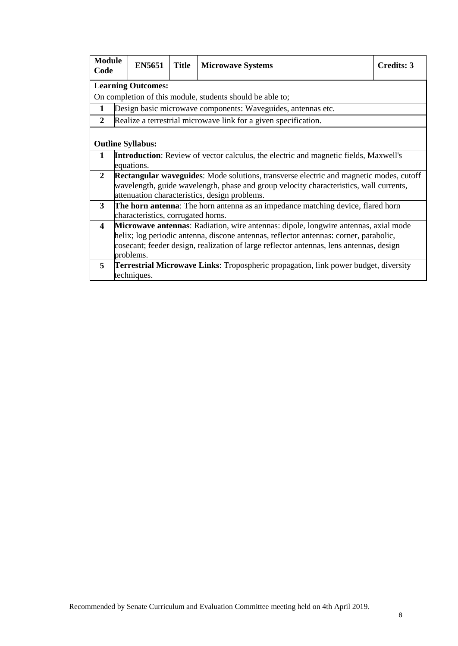| <b>Module</b><br>Code   |                                                                                                                                                                                                                                                                                      | <b>EN5651</b>             | <b>Title</b> | <b>Microwave Systems</b>                                                                                                                                                                                                                 | Credits: 3 |  |  |  |
|-------------------------|--------------------------------------------------------------------------------------------------------------------------------------------------------------------------------------------------------------------------------------------------------------------------------------|---------------------------|--------------|------------------------------------------------------------------------------------------------------------------------------------------------------------------------------------------------------------------------------------------|------------|--|--|--|
|                         |                                                                                                                                                                                                                                                                                      | <b>Learning Outcomes:</b> |              |                                                                                                                                                                                                                                          |            |  |  |  |
|                         |                                                                                                                                                                                                                                                                                      |                           |              | On completion of this module, students should be able to;                                                                                                                                                                                |            |  |  |  |
| 1                       |                                                                                                                                                                                                                                                                                      |                           |              | Design basic microwave components: Waveguides, antennas etc.                                                                                                                                                                             |            |  |  |  |
| 2                       |                                                                                                                                                                                                                                                                                      |                           |              | Realize a terrestrial microwave link for a given specification.                                                                                                                                                                          |            |  |  |  |
|                         |                                                                                                                                                                                                                                                                                      | <b>Outline Syllabus:</b>  |              |                                                                                                                                                                                                                                          |            |  |  |  |
| 1                       |                                                                                                                                                                                                                                                                                      | equations.                |              | <b>Introduction:</b> Review of vector calculus, the electric and magnetic fields, Maxwell's                                                                                                                                              |            |  |  |  |
| $\overline{2}$          |                                                                                                                                                                                                                                                                                      |                           |              | <b>Rectangular waveguides:</b> Mode solutions, transverse electric and magnetic modes, cutoff<br>wavelength, guide wavelength, phase and group velocity characteristics, wall currents,<br>attenuation characteristics, design problems. |            |  |  |  |
| $\mathbf{3}$            | <b>The horn antenna:</b> The horn antenna as an impedance matching device, flared horn<br>characteristics, corrugated horns.                                                                                                                                                         |                           |              |                                                                                                                                                                                                                                          |            |  |  |  |
| $\overline{\mathbf{4}}$ | Microwave antennas: Radiation, wire antennas: dipole, longwire antennas, axial mode<br>helix; log periodic antenna, discone antennas, reflector antennas: corner, parabolic,<br>cosecant; feeder design, realization of large reflector antennas, lens antennas, design<br>problems. |                           |              |                                                                                                                                                                                                                                          |            |  |  |  |
| 5                       | <b>Terrestrial Microwave Links:</b> Tropospheric propagation, link power budget, diversity<br>techniques.                                                                                                                                                                            |                           |              |                                                                                                                                                                                                                                          |            |  |  |  |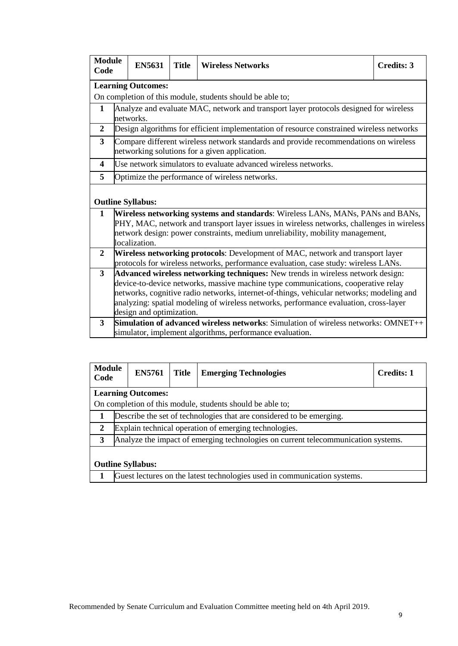| <b>Module</b><br>Code |                                                                                                                                                                                                                                                                                                                                                                                       | <b>EN5631</b> | <b>Title</b> | <b>Wireless Networks</b>                                                                                                                                                                                                                                     |  | <b>Credits: 3</b> |  |  |  |
|-----------------------|---------------------------------------------------------------------------------------------------------------------------------------------------------------------------------------------------------------------------------------------------------------------------------------------------------------------------------------------------------------------------------------|---------------|--------------|--------------------------------------------------------------------------------------------------------------------------------------------------------------------------------------------------------------------------------------------------------------|--|-------------------|--|--|--|
|                       | <b>Learning Outcomes:</b>                                                                                                                                                                                                                                                                                                                                                             |               |              |                                                                                                                                                                                                                                                              |  |                   |  |  |  |
|                       |                                                                                                                                                                                                                                                                                                                                                                                       |               |              | On completion of this module, students should be able to;                                                                                                                                                                                                    |  |                   |  |  |  |
| 1                     | Analyze and evaluate MAC, network and transport layer protocols designed for wireless<br>networks.                                                                                                                                                                                                                                                                                    |               |              |                                                                                                                                                                                                                                                              |  |                   |  |  |  |
| $\overline{2}$        |                                                                                                                                                                                                                                                                                                                                                                                       |               |              | Design algorithms for efficient implementation of resource constrained wireless networks                                                                                                                                                                     |  |                   |  |  |  |
| $\overline{3}$        |                                                                                                                                                                                                                                                                                                                                                                                       |               |              | Compare different wireless network standards and provide recommendations on wireless<br>networking solutions for a given application.                                                                                                                        |  |                   |  |  |  |
| 4                     |                                                                                                                                                                                                                                                                                                                                                                                       |               |              | Use network simulators to evaluate advanced wireless networks.                                                                                                                                                                                               |  |                   |  |  |  |
| 5                     |                                                                                                                                                                                                                                                                                                                                                                                       |               |              | Optimize the performance of wireless networks.                                                                                                                                                                                                               |  |                   |  |  |  |
|                       | <b>Outline Syllabus:</b>                                                                                                                                                                                                                                                                                                                                                              |               |              |                                                                                                                                                                                                                                                              |  |                   |  |  |  |
| $\mathbf{1}$          | localization.                                                                                                                                                                                                                                                                                                                                                                         |               |              | Wireless networking systems and standards: Wireless LANs, MANs, PANs and BANs,<br>PHY, MAC, network and transport layer issues in wireless networks, challenges in wireless<br>network design: power constraints, medium unreliability, mobility management, |  |                   |  |  |  |
| $\overline{2}$        | Wireless networking protocols: Development of MAC, network and transport layer<br>protocols for wireless networks, performance evaluation, case study: wireless LANs.                                                                                                                                                                                                                 |               |              |                                                                                                                                                                                                                                                              |  |                   |  |  |  |
| 3                     | Advanced wireless networking techniques: New trends in wireless network design:<br>device-to-device networks, massive machine type communications, cooperative relay<br>networks, cognitive radio networks, internet-of-things, vehicular networks; modeling and<br>analyzing: spatial modeling of wireless networks, performance evaluation, cross-layer<br>design and optimization. |               |              |                                                                                                                                                                                                                                                              |  |                   |  |  |  |
| 3                     |                                                                                                                                                                                                                                                                                                                                                                                       |               |              | <b>Simulation of advanced wireless networks:</b> Simulation of wireless networks: OMNET++<br>simulator, implement algorithms, performance evaluation.                                                                                                        |  |                   |  |  |  |

| <b>Module</b><br>Code    |                                                                                   | <b>EN5761</b>             | <b>Title</b> | <b>Emerging Technologies</b>                                             | <b>Credits: 1</b> |  |  |
|--------------------------|-----------------------------------------------------------------------------------|---------------------------|--------------|--------------------------------------------------------------------------|-------------------|--|--|
|                          |                                                                                   | <b>Learning Outcomes:</b> |              |                                                                          |                   |  |  |
|                          |                                                                                   |                           |              | On completion of this module, students should be able to;                |                   |  |  |
|                          |                                                                                   |                           |              | Describe the set of technologies that are considered to be emerging.     |                   |  |  |
| 2                        |                                                                                   |                           |              | Explain technical operation of emerging technologies.                    |                   |  |  |
| 3                        | Analyze the impact of emerging technologies on current telecommunication systems. |                           |              |                                                                          |                   |  |  |
| <b>Outline Syllabus:</b> |                                                                                   |                           |              |                                                                          |                   |  |  |
|                          |                                                                                   |                           |              | Guest lectures on the latest technologies used in communication systems. |                   |  |  |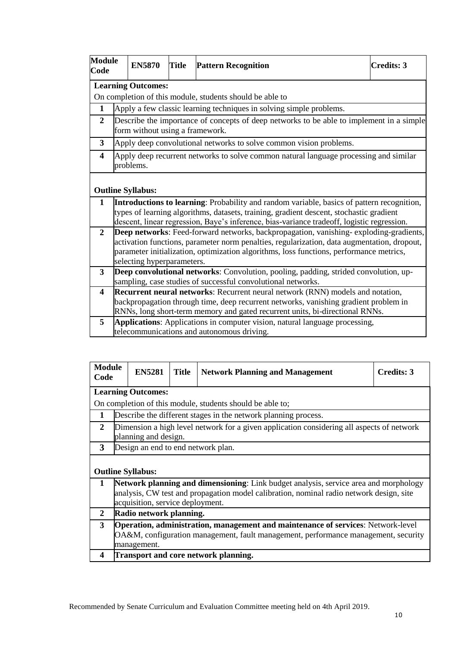| <b>Module</b><br>Code   |                                                                                                                                                                                                                                                                                                               | <b>EN5870</b>                   | Title | <b>Pattern Recognition</b>                                                                                                                                                                                                                                                                 | <b>Credits: 3</b> |  |  |  |  |
|-------------------------|---------------------------------------------------------------------------------------------------------------------------------------------------------------------------------------------------------------------------------------------------------------------------------------------------------------|---------------------------------|-------|--------------------------------------------------------------------------------------------------------------------------------------------------------------------------------------------------------------------------------------------------------------------------------------------|-------------------|--|--|--|--|
|                         | <b>Learning Outcomes:</b>                                                                                                                                                                                                                                                                                     |                                 |       |                                                                                                                                                                                                                                                                                            |                   |  |  |  |  |
|                         |                                                                                                                                                                                                                                                                                                               |                                 |       | On completion of this module, students should be able to                                                                                                                                                                                                                                   |                   |  |  |  |  |
| $\mathbf{1}$            |                                                                                                                                                                                                                                                                                                               |                                 |       | Apply a few classic learning techniques in solving simple problems.                                                                                                                                                                                                                        |                   |  |  |  |  |
| $\mathbf{2}$            |                                                                                                                                                                                                                                                                                                               | form without using a framework. |       | Describe the importance of concepts of deep networks to be able to implement in a simple                                                                                                                                                                                                   |                   |  |  |  |  |
| 3                       |                                                                                                                                                                                                                                                                                                               |                                 |       | Apply deep convolutional networks to solve common vision problems.                                                                                                                                                                                                                         |                   |  |  |  |  |
| $\overline{\mathbf{4}}$ |                                                                                                                                                                                                                                                                                                               | problems.                       |       | Apply deep recurrent networks to solve common natural language processing and similar                                                                                                                                                                                                      |                   |  |  |  |  |
|                         |                                                                                                                                                                                                                                                                                                               | <b>Outline Syllabus:</b>        |       |                                                                                                                                                                                                                                                                                            |                   |  |  |  |  |
| $\mathbf{1}$            |                                                                                                                                                                                                                                                                                                               |                                 |       | <b>Introductions to learning:</b> Probability and random variable, basics of pattern recognition,<br>types of learning algorithms, datasets, training, gradient descent, stochastic gradient<br>descent, linear regression, Baye's inference, bias-variance tradeoff, logistic regression. |                   |  |  |  |  |
| $\mathbf{2}$            | Deep networks: Feed-forward networks, backpropagation, vanishing-exploding-gradients,<br>activation functions, parameter norm penalties, regularization, data augmentation, dropout,<br>parameter initialization, optimization algorithms, loss functions, performance metrics,<br>selecting hyperparameters. |                                 |       |                                                                                                                                                                                                                                                                                            |                   |  |  |  |  |
| 3                       | Deep convolutional networks: Convolution, pooling, padding, strided convolution, up-<br>sampling, case studies of successful convolutional networks.                                                                                                                                                          |                                 |       |                                                                                                                                                                                                                                                                                            |                   |  |  |  |  |
| $\overline{\mathbf{4}}$ | <b>Recurrent neural networks:</b> Recurrent neural network (RNN) models and notation,<br>backpropagation through time, deep recurrent networks, vanishing gradient problem in<br>RNNs, long short-term memory and gated recurrent units, bi-directional RNNs.                                                 |                                 |       |                                                                                                                                                                                                                                                                                            |                   |  |  |  |  |
| 5                       |                                                                                                                                                                                                                                                                                                               |                                 |       | Applications: Applications in computer vision, natural language processing,<br>telecommunications and autonomous driving.                                                                                                                                                                  |                   |  |  |  |  |

| <b>Module</b><br>Code |                                                                                                                                                                                                                     | <b>EN5281</b> | <b>Title</b> | <b>Network Planning and Management</b>                         |  | Credits: 3 |  |  |  |  |
|-----------------------|---------------------------------------------------------------------------------------------------------------------------------------------------------------------------------------------------------------------|---------------|--------------|----------------------------------------------------------------|--|------------|--|--|--|--|
|                       | <b>Learning Outcomes:</b>                                                                                                                                                                                           |               |              |                                                                |  |            |  |  |  |  |
|                       |                                                                                                                                                                                                                     |               |              | On completion of this module, students should be able to;      |  |            |  |  |  |  |
| 1                     |                                                                                                                                                                                                                     |               |              | Describe the different stages in the network planning process. |  |            |  |  |  |  |
| $\mathbf{2}$          | Dimension a high level network for a given application considering all aspects of network<br>planning and design.                                                                                                   |               |              |                                                                |  |            |  |  |  |  |
| 3                     |                                                                                                                                                                                                                     |               |              | Design an end to end network plan.                             |  |            |  |  |  |  |
|                       | <b>Outline Syllabus:</b>                                                                                                                                                                                            |               |              |                                                                |  |            |  |  |  |  |
| 1                     | Network planning and dimensioning: Link budget analysis, service area and morphology<br>analysis, CW test and propagation model calibration, nominal radio network design, site<br>acquisition, service deployment. |               |              |                                                                |  |            |  |  |  |  |
| 2                     | Radio network planning.                                                                                                                                                                                             |               |              |                                                                |  |            |  |  |  |  |
| 3                     | <b>Operation, administration, management and maintenance of services: Network-level</b><br>OA&M, configuration management, fault management, performance management, security<br>management.                        |               |              |                                                                |  |            |  |  |  |  |
| 4                     | Transport and core network planning.                                                                                                                                                                                |               |              |                                                                |  |            |  |  |  |  |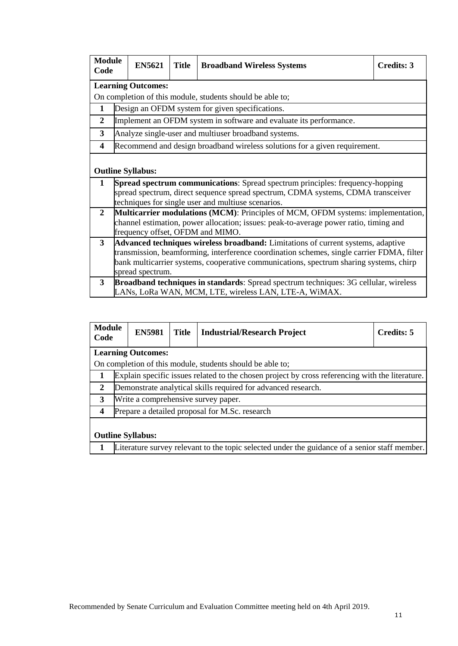| <b>Module</b><br>Code                   |                                                                                                                                                                                                                                                                                             | <b>EN5621</b>            | <b>Title</b> | <b>Broadband Wireless Systems</b>                                                                                                                                                                                              | <b>Credits: 3</b> |  |  |  |  |  |
|-----------------------------------------|---------------------------------------------------------------------------------------------------------------------------------------------------------------------------------------------------------------------------------------------------------------------------------------------|--------------------------|--------------|--------------------------------------------------------------------------------------------------------------------------------------------------------------------------------------------------------------------------------|-------------------|--|--|--|--|--|
|                                         | <b>Learning Outcomes:</b>                                                                                                                                                                                                                                                                   |                          |              |                                                                                                                                                                                                                                |                   |  |  |  |  |  |
|                                         |                                                                                                                                                                                                                                                                                             |                          |              | On completion of this module, students should be able to;                                                                                                                                                                      |                   |  |  |  |  |  |
| $\mathbf{1}$                            |                                                                                                                                                                                                                                                                                             |                          |              | Design an OFDM system for given specifications.                                                                                                                                                                                |                   |  |  |  |  |  |
| $\overline{2}$                          |                                                                                                                                                                                                                                                                                             |                          |              | Implement an OFDM system in software and evaluate its performance.                                                                                                                                                             |                   |  |  |  |  |  |
| 3                                       |                                                                                                                                                                                                                                                                                             |                          |              | Analyze single-user and multiuser broadband systems.                                                                                                                                                                           |                   |  |  |  |  |  |
| 4                                       |                                                                                                                                                                                                                                                                                             |                          |              | Recommend and design broadband wireless solutions for a given requirement.                                                                                                                                                     |                   |  |  |  |  |  |
|                                         |                                                                                                                                                                                                                                                                                             | <b>Outline Syllabus:</b> |              |                                                                                                                                                                                                                                |                   |  |  |  |  |  |
| 1                                       |                                                                                                                                                                                                                                                                                             |                          |              | <b>Spread spectrum communications:</b> Spread spectrum principles: frequency-hopping<br>spread spectrum, direct sequence spread spectrum, CDMA systems, CDMA transceiver<br>techniques for single user and multiuse scenarios. |                   |  |  |  |  |  |
| $\overline{2}$                          | <b>Multicarrier modulations (MCM):</b> Principles of MCM, OFDM systems: implementation,<br>channel estimation, power allocation; issues: peak-to-average power ratio, timing and<br>frequency offset, OFDM and MIMO.                                                                        |                          |              |                                                                                                                                                                                                                                |                   |  |  |  |  |  |
| $\mathbf{3}$<br>$\overline{\mathbf{3}}$ | Advanced techniques wireless broadband: Limitations of current systems, adaptive<br>transmission, beamforming, interference coordination schemes, single carrier FDMA, filter<br>bank multicarrier systems, cooperative communications, spectrum sharing systems, chirp<br>spread spectrum. |                          |              |                                                                                                                                                                                                                                |                   |  |  |  |  |  |
|                                         | <b>Broadband techniques in standards:</b> Spread spectrum techniques: 3G cellular, wireless<br>LANs, LoRa WAN, MCM, LTE, wireless LAN, LTE-A, WiMAX.                                                                                                                                        |                          |              |                                                                                                                                                                                                                                |                   |  |  |  |  |  |

| <b>Module</b><br>Code    |                                                                                               | <b>EN5981</b>             | Title | <b>Industrial/Research Project</b>                                                              | Credits: 5 |  |  |
|--------------------------|-----------------------------------------------------------------------------------------------|---------------------------|-------|-------------------------------------------------------------------------------------------------|------------|--|--|
|                          |                                                                                               | <b>Learning Outcomes:</b> |       |                                                                                                 |            |  |  |
|                          |                                                                                               |                           |       | On completion of this module, students should be able to;                                       |            |  |  |
|                          |                                                                                               |                           |       | Explain specific issues related to the chosen project by cross referencing with the literature. |            |  |  |
| $\mathbf{2}$             |                                                                                               |                           |       | Demonstrate analytical skills required for advanced research.                                   |            |  |  |
| 3                        |                                                                                               |                           |       | Write a comprehensive survey paper.                                                             |            |  |  |
| $\boldsymbol{4}$         | Prepare a detailed proposal for M.Sc. research                                                |                           |       |                                                                                                 |            |  |  |
| <b>Outline Syllabus:</b> |                                                                                               |                           |       |                                                                                                 |            |  |  |
|                          | Literature survey relevant to the topic selected under the guidance of a senior staff member. |                           |       |                                                                                                 |            |  |  |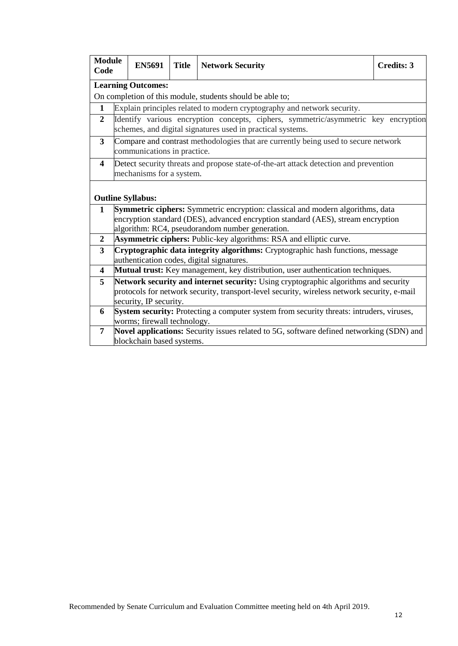|                                                                                             |                       | <b>Title</b>                              | <b>Network Security</b> | <b>Credits: 3</b>                                                                                                                                                                                                                                                                                                                                                                                                                                                                                                                                                                                                                                                                                                                                                                                                                                                                                                                                                                                                                                                                                                                                                                                                                                        |  |  |  |  |
|---------------------------------------------------------------------------------------------|-----------------------|-------------------------------------------|-------------------------|----------------------------------------------------------------------------------------------------------------------------------------------------------------------------------------------------------------------------------------------------------------------------------------------------------------------------------------------------------------------------------------------------------------------------------------------------------------------------------------------------------------------------------------------------------------------------------------------------------------------------------------------------------------------------------------------------------------------------------------------------------------------------------------------------------------------------------------------------------------------------------------------------------------------------------------------------------------------------------------------------------------------------------------------------------------------------------------------------------------------------------------------------------------------------------------------------------------------------------------------------------|--|--|--|--|
| <b>Learning Outcomes:</b>                                                                   |                       |                                           |                         |                                                                                                                                                                                                                                                                                                                                                                                                                                                                                                                                                                                                                                                                                                                                                                                                                                                                                                                                                                                                                                                                                                                                                                                                                                                          |  |  |  |  |
| On completion of this module, students should be able to;                                   |                       |                                           |                         |                                                                                                                                                                                                                                                                                                                                                                                                                                                                                                                                                                                                                                                                                                                                                                                                                                                                                                                                                                                                                                                                                                                                                                                                                                                          |  |  |  |  |
|                                                                                             |                       |                                           |                         |                                                                                                                                                                                                                                                                                                                                                                                                                                                                                                                                                                                                                                                                                                                                                                                                                                                                                                                                                                                                                                                                                                                                                                                                                                                          |  |  |  |  |
| Identify various encryption concepts, ciphers, symmetric/asymmetric key encryption          |                       |                                           |                         |                                                                                                                                                                                                                                                                                                                                                                                                                                                                                                                                                                                                                                                                                                                                                                                                                                                                                                                                                                                                                                                                                                                                                                                                                                                          |  |  |  |  |
|                                                                                             |                       |                                           |                         |                                                                                                                                                                                                                                                                                                                                                                                                                                                                                                                                                                                                                                                                                                                                                                                                                                                                                                                                                                                                                                                                                                                                                                                                                                                          |  |  |  |  |
|                                                                                             |                       |                                           |                         |                                                                                                                                                                                                                                                                                                                                                                                                                                                                                                                                                                                                                                                                                                                                                                                                                                                                                                                                                                                                                                                                                                                                                                                                                                                          |  |  |  |  |
|                                                                                             |                       |                                           |                         |                                                                                                                                                                                                                                                                                                                                                                                                                                                                                                                                                                                                                                                                                                                                                                                                                                                                                                                                                                                                                                                                                                                                                                                                                                                          |  |  |  |  |
|                                                                                             |                       |                                           |                         |                                                                                                                                                                                                                                                                                                                                                                                                                                                                                                                                                                                                                                                                                                                                                                                                                                                                                                                                                                                                                                                                                                                                                                                                                                                          |  |  |  |  |
|                                                                                             |                       |                                           |                         |                                                                                                                                                                                                                                                                                                                                                                                                                                                                                                                                                                                                                                                                                                                                                                                                                                                                                                                                                                                                                                                                                                                                                                                                                                                          |  |  |  |  |
|                                                                                             |                       |                                           |                         |                                                                                                                                                                                                                                                                                                                                                                                                                                                                                                                                                                                                                                                                                                                                                                                                                                                                                                                                                                                                                                                                                                                                                                                                                                                          |  |  |  |  |
|                                                                                             |                       |                                           |                         |                                                                                                                                                                                                                                                                                                                                                                                                                                                                                                                                                                                                                                                                                                                                                                                                                                                                                                                                                                                                                                                                                                                                                                                                                                                          |  |  |  |  |
|                                                                                             |                       |                                           |                         |                                                                                                                                                                                                                                                                                                                                                                                                                                                                                                                                                                                                                                                                                                                                                                                                                                                                                                                                                                                                                                                                                                                                                                                                                                                          |  |  |  |  |
|                                                                                             |                       |                                           |                         |                                                                                                                                                                                                                                                                                                                                                                                                                                                                                                                                                                                                                                                                                                                                                                                                                                                                                                                                                                                                                                                                                                                                                                                                                                                          |  |  |  |  |
|                                                                                             |                       |                                           |                         |                                                                                                                                                                                                                                                                                                                                                                                                                                                                                                                                                                                                                                                                                                                                                                                                                                                                                                                                                                                                                                                                                                                                                                                                                                                          |  |  |  |  |
|                                                                                             |                       |                                           |                         |                                                                                                                                                                                                                                                                                                                                                                                                                                                                                                                                                                                                                                                                                                                                                                                                                                                                                                                                                                                                                                                                                                                                                                                                                                                          |  |  |  |  |
|                                                                                             |                       |                                           |                         |                                                                                                                                                                                                                                                                                                                                                                                                                                                                                                                                                                                                                                                                                                                                                                                                                                                                                                                                                                                                                                                                                                                                                                                                                                                          |  |  |  |  |
|                                                                                             |                       |                                           |                         |                                                                                                                                                                                                                                                                                                                                                                                                                                                                                                                                                                                                                                                                                                                                                                                                                                                                                                                                                                                                                                                                                                                                                                                                                                                          |  |  |  |  |
| protocols for network security, transport-level security, wireless network security, e-mail |                       |                                           |                         |                                                                                                                                                                                                                                                                                                                                                                                                                                                                                                                                                                                                                                                                                                                                                                                                                                                                                                                                                                                                                                                                                                                                                                                                                                                          |  |  |  |  |
|                                                                                             |                       |                                           |                         |                                                                                                                                                                                                                                                                                                                                                                                                                                                                                                                                                                                                                                                                                                                                                                                                                                                                                                                                                                                                                                                                                                                                                                                                                                                          |  |  |  |  |
|                                                                                             |                       |                                           |                         |                                                                                                                                                                                                                                                                                                                                                                                                                                                                                                                                                                                                                                                                                                                                                                                                                                                                                                                                                                                                                                                                                                                                                                                                                                                          |  |  |  |  |
|                                                                                             |                       |                                           |                         |                                                                                                                                                                                                                                                                                                                                                                                                                                                                                                                                                                                                                                                                                                                                                                                                                                                                                                                                                                                                                                                                                                                                                                                                                                                          |  |  |  |  |
|                                                                                             |                       |                                           |                         |                                                                                                                                                                                                                                                                                                                                                                                                                                                                                                                                                                                                                                                                                                                                                                                                                                                                                                                                                                                                                                                                                                                                                                                                                                                          |  |  |  |  |
|                                                                                             | <b>Module</b><br>Code | <b>EN5691</b><br><b>Outline Syllabus:</b> | security, IP security.  | Explain principles related to modern cryptography and network security.<br>schemes, and digital signatures used in practical systems.<br>Compare and contrast methodologies that are currently being used to secure network<br>communications in practice.<br>Detect security threats and propose state-of-the-art attack detection and prevention<br>mechanisms for a system.<br><b>Symmetric ciphers:</b> Symmetric encryption: classical and modern algorithms, data<br>encryption standard (DES), advanced encryption standard (AES), stream encryption<br>algorithm: RC4, pseudorandom number generation.<br><b>Asymmetric ciphers:</b> Public-key algorithms: RSA and elliptic curve.<br>Cryptographic data integrity algorithms: Cryptographic hash functions, message<br>authentication codes, digital signatures.<br>Mutual trust: Key management, key distribution, user authentication techniques.<br>Network security and internet security: Using cryptographic algorithms and security<br>System security: Protecting a computer system from security threats: intruders, viruses,<br>worms; firewall technology.<br>Novel applications: Security issues related to 5G, software defined networking (SDN) and<br>blockchain based systems. |  |  |  |  |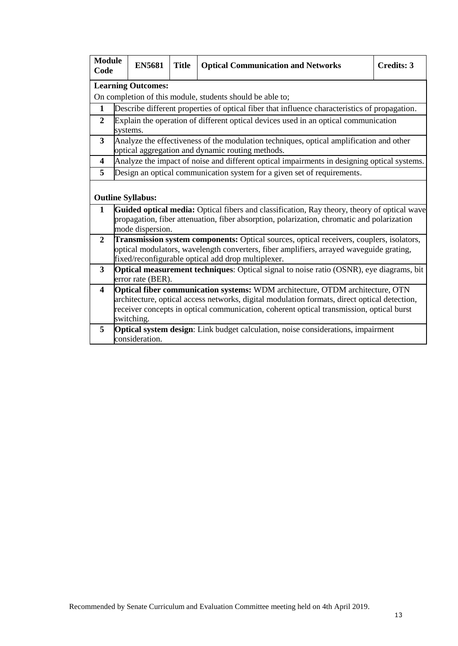| <b>Module</b><br>Code   |                                                                                                                                                                                                                                                                                         | <b>EN5681</b>            | <b>Title</b> | <b>Optical Communication and Networks</b>                                                                                                                                                 | <b>Credits: 3</b> |  |  |  |  |
|-------------------------|-----------------------------------------------------------------------------------------------------------------------------------------------------------------------------------------------------------------------------------------------------------------------------------------|--------------------------|--------------|-------------------------------------------------------------------------------------------------------------------------------------------------------------------------------------------|-------------------|--|--|--|--|
|                         | <b>Learning Outcomes:</b>                                                                                                                                                                                                                                                               |                          |              |                                                                                                                                                                                           |                   |  |  |  |  |
|                         |                                                                                                                                                                                                                                                                                         |                          |              | On completion of this module, students should be able to;                                                                                                                                 |                   |  |  |  |  |
| 1                       |                                                                                                                                                                                                                                                                                         |                          |              | Describe different properties of optical fiber that influence characteristics of propagation.                                                                                             |                   |  |  |  |  |
| $\overline{2}$          | systems.                                                                                                                                                                                                                                                                                |                          |              | Explain the operation of different optical devices used in an optical communication                                                                                                       |                   |  |  |  |  |
| 3                       |                                                                                                                                                                                                                                                                                         |                          |              | Analyze the effectiveness of the modulation techniques, optical amplification and other<br>optical aggregation and dynamic routing methods.                                               |                   |  |  |  |  |
| 4                       |                                                                                                                                                                                                                                                                                         |                          |              | Analyze the impact of noise and different optical impairments in designing optical systems.                                                                                               |                   |  |  |  |  |
| 5                       |                                                                                                                                                                                                                                                                                         |                          |              | Design an optical communication system for a given set of requirements.                                                                                                                   |                   |  |  |  |  |
|                         |                                                                                                                                                                                                                                                                                         | <b>Outline Syllabus:</b> |              |                                                                                                                                                                                           |                   |  |  |  |  |
| 1                       |                                                                                                                                                                                                                                                                                         | mode dispersion.         |              | Guided optical media: Optical fibers and classification, Ray theory, theory of optical wave<br>propagation, fiber attenuation, fiber absorption, polarization, chromatic and polarization |                   |  |  |  |  |
| $\overline{2}$          | Transmission system components: Optical sources, optical receivers, couplers, isolators,<br>optical modulators, wavelength converters, fiber amplifiers, arrayed waveguide grating,<br>fixed/reconfigurable optical add drop multiplexer.                                               |                          |              |                                                                                                                                                                                           |                   |  |  |  |  |
| 3                       | <b>Optical measurement techniques:</b> Optical signal to noise ratio (OSNR), eye diagrams, bit<br>error rate (BER).                                                                                                                                                                     |                          |              |                                                                                                                                                                                           |                   |  |  |  |  |
| $\overline{\mathbf{4}}$ | Optical fiber communication systems: WDM architecture, OTDM architecture, OTN<br>architecture, optical access networks, digital modulation formats, direct optical detection,<br>receiver concepts in optical communication, coherent optical transmission, optical burst<br>switching. |                          |              |                                                                                                                                                                                           |                   |  |  |  |  |
| 5                       |                                                                                                                                                                                                                                                                                         | consideration.           |              | <b>Optical system design:</b> Link budget calculation, noise considerations, impairment                                                                                                   |                   |  |  |  |  |